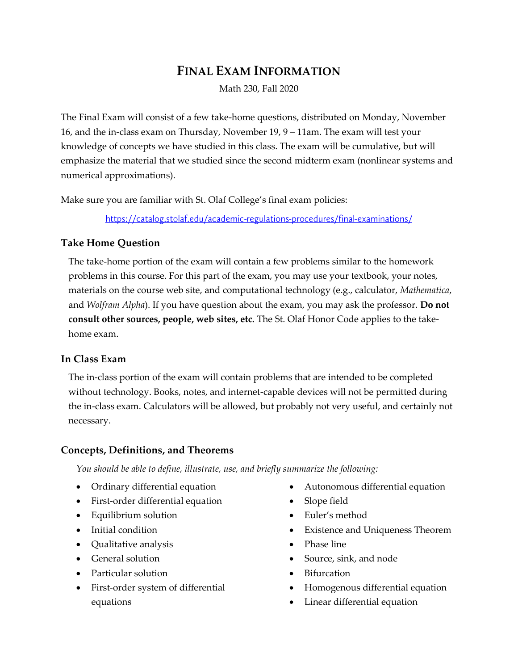# **FINAL EXAM INFORMATION**

Math 230, Fall 2020

The Final Exam will consist of a few take-home questions, distributed on Monday, November 16, and the in-class exam on Thursday, November 19, 9 – 11am. The exam will test your knowledge of concepts we have studied in this class. The exam will be cumulative, but will emphasize the material that we studied since the second midterm exam (nonlinear systems and numerical approximations).

Make sure you are familiar with St. Olaf College's final exam policies:

https://catalog.stolaf.edu/academic-regulations-procedures/final-examinations/

### **Take Home Question**

The take-home portion of the exam will contain a few problems similar to the homework problems in this course. For this part of the exam, you may use your textbook, your notes, materials on the course web site, and computational technology (e.g., calculator, *Mathematica*, and *Wolfram Alpha*). If you have question about the exam, you may ask the professor. **Do not consult other sources, people, web sites, etc.** The St. Olaf Honor Code applies to the takehome exam.

#### **In Class Exam**

The in-class portion of the exam will contain problems that are intended to be completed without technology. Books, notes, and internet-capable devices will not be permitted during the in-class exam. Calculators will be allowed, but probably not very useful, and certainly not necessary.

#### **Concepts, Definitions, and Theorems**

*You should be able to define, illustrate, use, and briefly summarize the following:*

- Ordinary differential equation
- First-order differential equation
- Equilibrium solution
- Initial condition
- Qualitative analysis
- General solution
- Particular solution
- First-order system of differential equations
- Autonomous differential equation
- Slope field
- Euler's method
- Existence and Uniqueness Theorem
- Phase line
- Source, sink, and node
- Bifurcation
- Homogenous differential equation
- Linear differential equation